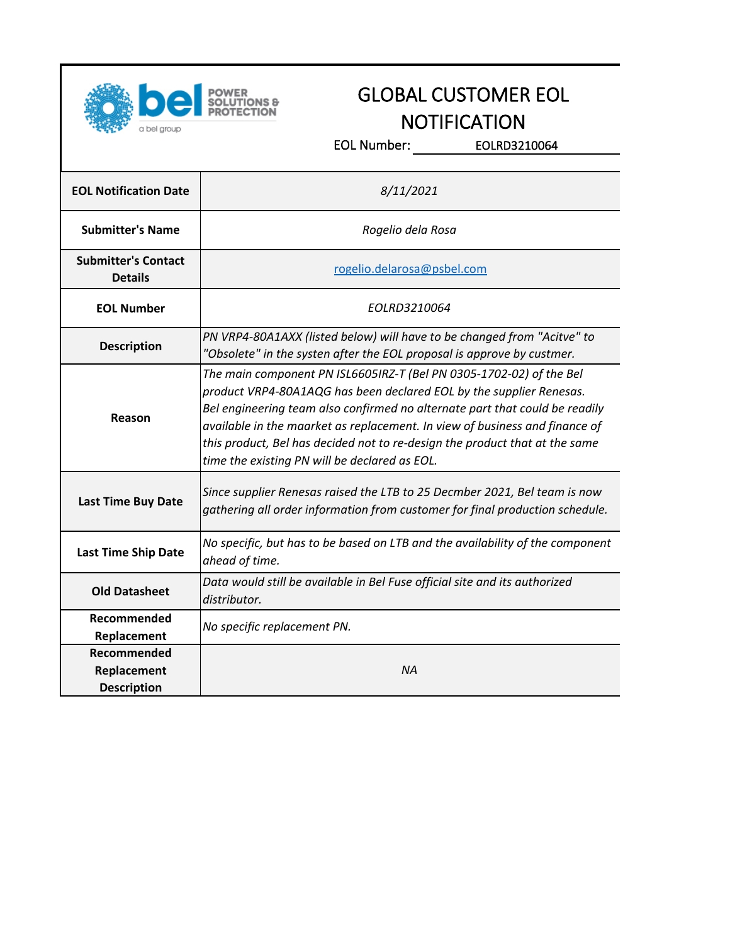

## GLOBAL CUSTOMER EOL **NOTIFICATION**

EOL Number: EOLRD3210064

| <b>EOL Notification Date</b>                            | 8/11/2021                                                                                                                                                                                                                                                                                                                                                                                                                                |  |
|---------------------------------------------------------|------------------------------------------------------------------------------------------------------------------------------------------------------------------------------------------------------------------------------------------------------------------------------------------------------------------------------------------------------------------------------------------------------------------------------------------|--|
| <b>Submitter's Name</b>                                 | Rogelio dela Rosa                                                                                                                                                                                                                                                                                                                                                                                                                        |  |
| <b>Submitter's Contact</b><br><b>Details</b>            | rogelio.delarosa@psbel.com                                                                                                                                                                                                                                                                                                                                                                                                               |  |
| <b>EOL Number</b>                                       | EOLRD3210064                                                                                                                                                                                                                                                                                                                                                                                                                             |  |
| <b>Description</b>                                      | PN VRP4-80A1AXX (listed below) will have to be changed from "Acitve" to<br>"Obsolete" in the systen after the EOL proposal is approve by custmer.                                                                                                                                                                                                                                                                                        |  |
| Reason                                                  | The main component PN ISL6605IRZ-T (Bel PN 0305-1702-02) of the Bel<br>product VRP4-80A1AQG has been declared EOL by the supplier Renesas.<br>Bel engineering team also confirmed no alternate part that could be readily<br>available in the maarket as replacement. In view of business and finance of<br>this product, Bel has decided not to re-design the product that at the same<br>time the existing PN will be declared as EOL. |  |
| <b>Last Time Buy Date</b>                               | Since supplier Renesas raised the LTB to 25 Decmber 2021, Bel team is now<br>gathering all order information from customer for final production schedule.                                                                                                                                                                                                                                                                                |  |
| <b>Last Time Ship Date</b>                              | No specific, but has to be based on LTB and the availability of the component<br>ahead of time.                                                                                                                                                                                                                                                                                                                                          |  |
| <b>Old Datasheet</b>                                    | Data would still be available in Bel Fuse official site and its authorized<br>distributor.                                                                                                                                                                                                                                                                                                                                               |  |
| Recommended<br>Replacement                              | No specific replacement PN.                                                                                                                                                                                                                                                                                                                                                                                                              |  |
| <b>Recommended</b><br>Replacement<br><b>Description</b> | <b>NA</b>                                                                                                                                                                                                                                                                                                                                                                                                                                |  |